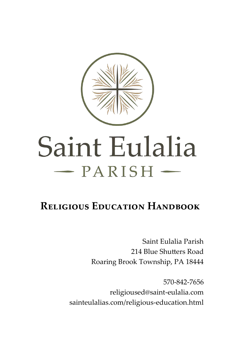

# Saint Eulalia  $-$  PARISH  $-$

# **Religious Education Handbook**

Saint Eulalia Parish 214 Blue Shutters Road Roaring Brook Township, PA 18444

570-842-7656 religioused@saint-eulalia.com sainteulalias.com/religious-education.html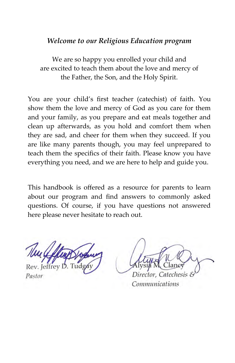#### *Welcome to our Religious Education program*

We are so happy you enrolled your child and are excited to teach them about the love and mercy of the Father, the Son, and the Holy Spirit.

You are your child's first teacher (catechist) of faith. You show them the love and mercy of God as you care for them and your family, as you prepare and eat meals together and clean up afterwards, as you hold and comfort them when they are sad, and cheer for them when they succeed. If you are like many parents though, you may feel unprepared to teach them the specifics of their faith. Please know you have everything you need, and we are here to help and guide you.

This handbook is offered as a resource for parents to learn about our program and find answers to commonly asked questions. Of course, if you have questions not answered here please never hesitate to reach out.

Pastor

Director. Catechesis &

Communications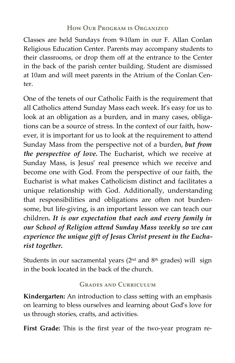#### **How Our Program is Organized**

Classes are held Sundays from 9-10am in our F. Allan Conlan Religious Education Center. Parents may accompany students to their classrooms, or drop them off at the entrance to the Center in the back of the parish center building. Student are dismissed at 10am and will meet parents in the Atrium of the Conlan Center.

One of the tenets of our Catholic Faith is the requirement that all Catholics attend Sunday Mass each week. It's easy for us to look at an obligation as a burden, and in many cases, obligations can be a source of stress. In the context of our faith, however, it is important for us to look at the requirement to attend Sunday Mass from the perspective not of a burden, *but from the perspective of love.* The Eucharist, which we receive at Sunday Mass, is Jesus' real presence which we receive and become one with God. From the perspective of our faith, the Eucharist is what makes Catholicism distinct and facilitates a unique relationship with God. Additionally, understanding that responsibilities and obligations are often not burdensome, but life-giving, is an important lesson we can teach our children*. It is our expectation that each and every family in our School of Religion attend Sunday Mass weekly so we can experience the unique gift of Jesus Christ present in the Eucharist together.*

Students in our sacramental years (2<sup>nd</sup> and 8<sup>th</sup> grades) will sign in the book located in the back of the church.

#### **Grades and Curriculum**

**Kindergarten:** An introduction to class setting with an emphasis on learning to bless ourselves and learning about God's love for us through stories, crafts, and activities.

**First Grade:** This is the first year of the two-year program re-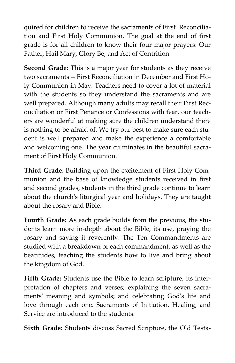quired for children to receive the sacraments of First Reconciliation and First Holy Communion. The goal at the end of first grade is for all children to know their four major prayers: Our Father, Hail Mary, Glory Be, and Act of Contrition.

**Second Grade:** This is a major year for students as they receive two sacraments -- First Reconciliation in December and First Holy Communion in May. Teachers need to cover a lot of material with the students so they understand the sacraments and are well prepared. Although many adults may recall their First Reconciliation or First Penance or Confessions with fear, our teachers are wonderful at making sure the children understand there is nothing to be afraid of. We try our best to make sure each student is well prepared and make the experience a comfortable and welcoming one. The year culminates in the beautiful sacrament of First Holy Communion.

**Third Grade**: Building upon the excitement of First Holy Communion and the base of knowledge students received in first and second grades, students in the third grade continue to learn about the church's liturgical year and holidays. They are taught about the rosary and Bible.

**Fourth Grade:** As each grade builds from the previous, the students learn more in-depth about the Bible, its use, praying the rosary and saying it reverently. The Ten Commandments are studied with a breakdown of each commandment, as well as the beatitudes, teaching the students how to live and bring about the kingdom of God.

**Fifth Grade:** Students use the Bible to learn scripture, its interpretation of chapters and verses; explaining the seven sacraments' meaning and symbols; and celebrating God's life and love through each one. Sacraments of Initiation, Healing, and Service are introduced to the students.

**Sixth Grade:** Students discuss Sacred Scripture, the Old Testa-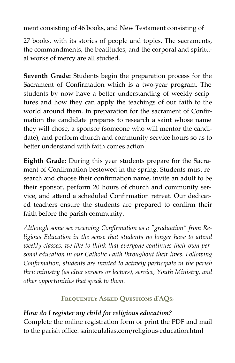ment consisting of 46 books, and New Testament consisting of

27 books, with its stories of people and topics. The sacraments, the commandments, the beatitudes, and the corporal and spiritual works of mercy are all studied.

**Seventh Grade:** Students begin the preparation process for the Sacrament of Confirmation which is a two-year program. The students by now have a better understanding of weekly scriptures and how they can apply the teachings of our faith to the world around them. In preparation for the sacrament of Confirmation the candidate prepares to research a saint whose name they will chose, a sponsor (someone who will mentor the candidate), and perform church and community service hours so as to better understand with faith comes action.

**Eighth Grade:** During this year students prepare for the Sacrament of Confirmation bestowed in the spring. Students must research and choose their confirmation name, invite an adult to be their sponsor, perform 20 hours of church and community service, and attend a scheduled Confirmation retreat. Our dedicated teachers ensure the students are prepared to confirm their faith before the parish community.

*Although some see receiving Confirmation as a "graduation" from Religious Education in the sense that students no longer have to attend weekly classes, we like to think that everyone continues their own personal education in our Catholic Faith throughout their lives. Following Confirmation, students are invited to actively participate in the parish thru ministry (as altar servers or lectors), service, Youth Ministry, and other opportunities that speak to them.*

#### **Frequently Asked Questions (FAQs)**

# *How do I register my child for religious education?*

Complete the online registration form or print the PDF and mail to the parish office. sainteulalias.com/religious-education.html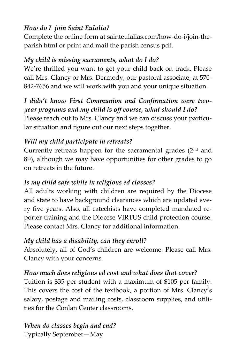#### *How do I join Saint Eulalia?*

Complete the online form at sainteulalias.com/how-do-i/join-theparish.html or print and mail the parish census pdf.

# *My child is missing sacraments, what do I do?*

We're thrilled you want to get your child back on track. Please call Mrs. Clancy or Mrs. Dermody, our pastoral associate, at 570- 842-7656 and we will work with you and your unique situation.

# *I didn't know First Communion and Confirmation were twoyear programs and my child is off course, what should I do?*

Please reach out to Mrs. Clancy and we can discuss your particular situation and figure out our next steps together.

### *Will my child participate in retreats?*

Currently retreats happen for the sacramental grades  $(2<sup>nd</sup>$  and 8 th), although we may have opportunities for other grades to go on retreats in the future.

# *Is my child safe while in religious ed classes?*

All adults working with children are required by the Diocese and state to have background clearances which are updated every five years. Also, all catechists have completed mandated reporter training and the Diocese VIRTUS child protection course. Please contact Mrs. Clancy for additional information.

### *My child has a disability, can they enroll?*

Absolutely, all of God's children are welcome. Please call Mrs. Clancy with your concerns.

# *How much does religious ed cost and what does that cover?*

Tuition is \$35 per student with a maximum of \$105 per family. This covers the cost of the textbook, a portion of Mrs. Clancy's salary, postage and mailing costs, classroom supplies, and utilities for the Conlan Center classrooms.

#### *When do classes begin and end?*  Typically September—May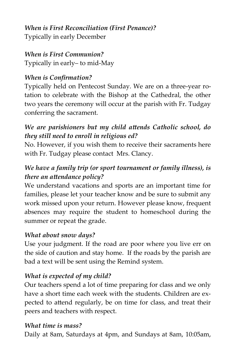#### *When is First Reconciliation (First Penance)?* Typically in early December

# *When is First Communion?*

Typically in early– to mid-May

# *When is Confirmation?*

Typically held on Pentecost Sunday. We are on a three-year rotation to celebrate with the Bishop at the Cathedral, the other two years the ceremony will occur at the parish with Fr. Tudgay conferring the sacrament.

# *We are parishioners but my child attends Catholic school, do they still need to enroll in religious ed?*

No. However, if you wish them to receive their sacraments here with Fr. Tudgay please contact Mrs. Clancy.

# *We have a family trip (or sport tournament or family illness), is there an attendance policy?*

We understand vacations and sports are an important time for families, please let your teacher know and be sure to submit any work missed upon your return. However please know, frequent absences may require the student to homeschool during the summer or repeat the grade.

### *What about snow days?*

Use your judgment. If the road are poor where you live err on the side of caution and stay home. If the roads by the parish are bad a text will be sent using the Remind system.

# *What is expected of my child?*

Our teachers spend a lot of time preparing for class and we only have a short time each week with the students. Children are expected to attend regularly, be on time for class, and treat their peers and teachers with respect.

### *What time is mass?*

Daily at 8am, Saturdays at 4pm, and Sundays at 8am, 10:05am,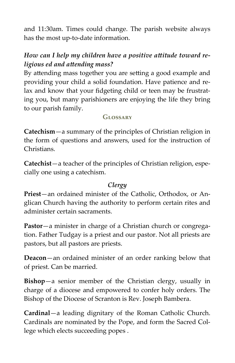and 11:30am. Times could change. The parish website always has the most up-to-date information.

# *How can I help my children have a positive attitude toward religious ed and attending mass?*

By attending mass together you are setting a good example and providing your child a solid foundation. Have patience and relax and know that your fidgeting child or teen may be frustrating you, but many parishioners are enjoying the life they bring to our parish family.

#### **Glossary**

**Catechism**—a summary of the principles of Christian religion in the form of questions and answers, used for the instruction of Christians.

**Catechist**—a teacher of the principles of Christian religion, especially one using a catechism.

#### *Clergy*

**Priest**—an ordained minister of the Catholic, Orthodox, or Anglican Church having the authority to perform certain rites and administer certain sacraments.

**Pastor**—a minister in charge of a Christian church or congregation. Father Tudgay is a priest and our pastor. Not all priests are pastors, but all pastors are priests.

**Deacon**—an ordained minister of an order ranking below that of priest. Can be married.

**Bishop**—a senior member of the Christian clergy, usually in charge of a diocese and empowered to confer holy orders. The Bishop of the Diocese of Scranton is Rev. Joseph Bambera.

**Cardinal**—a leading dignitary of the Roman Catholic Church. Cardinals are nominated by the Pope, and form the Sacred College which elects succeeding popes .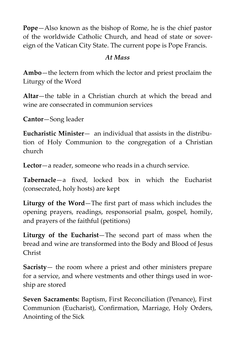**Pope**—Also known as the bishop of Rome, he is the chief pastor of the worldwide Catholic Church, and head of state or sovereign of the Vatican City State. The current pope is Pope Francis.

#### *At Mass*

**Ambo**—the lectern from which the lector and priest proclaim the Liturgy of the Word

**Altar**—the table in a Christian church at which the bread and wine are consecrated in communion services

**Cantor**—Song leader

**Eucharistic Minister**— an individual that assists in the distribution of Holy Communion to the congregation of a Christian church

**Lector**—a reader, someone who reads in a church service.

**Tabernacle**—a fixed, locked box in which the Eucharist (consecrated, holy hosts) are kept

**Liturgy of the Word**—The first part of mass which includes the opening prayers, readings, responsorial psalm, gospel, homily, and prayers of the faithful (petitions)

**Liturgy of the Eucharist**—The second part of mass when the bread and wine are transformed into the Body and Blood of Jesus Christ

**Sacristy**— the room where a priest and other ministers prepare for a service, and where vestments and other things used in worship are stored

**Seven Sacraments:** Baptism, First Reconciliation (Penance), First Communion (Eucharist), Confirmation, Marriage, Holy Orders, Anointing of the Sick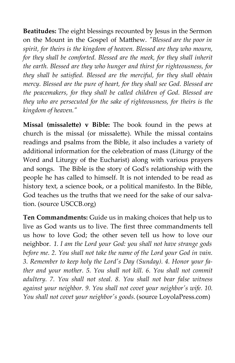**Beatitudes:** The eight blessings recounted by Jesus in the Sermon on the Mount in the Gospel of Matthew. *"Blessed are the poor in spirit, for theirs is the kingdom of heaven. Blessed are they who mourn, for they shall be comforted. Blessed are the meek, for they shall inherit the earth. Blessed are they who hunger and thirst for righteousness, for they shall be satisfied. Blessed are the merciful, for they shall obtain mercy. Blessed are the pure of heart, for they shall see God. Blessed are the peacemakers, for they shall be called children of God. Blessed are they who are persecuted for the sake of righteousness, for theirs is the kingdom of heaven."*

**Missal (missalette) v Bible:** The book found in the pews at church is the missal (or missalette). While the missal contains readings and psalms from the Bible, it also includes a variety of additional information for the celebration of mass (Liturgy of the Word and Liturgy of the Eucharist) along with various prayers and songs. The Bible is the story of God's relationship with the people he has called to himself. It is not intended to be read as history text, a science book, or a political manifesto. In the Bible, God teaches us the truths that we need for the sake of our salvation. (source USCCB.org)

**Ten Commandments:** Guide us in making choices that help us to live as God wants us to live. The first three commandments tell us how to love God; the other seven tell us how to love our neighbor. *1. I am the Lord your God: you shall not have strange gods before me. 2. You shall not take the name of the Lord your God in vain. 3. Remember to keep holy the Lord's Day (Sunday). 4. Honor your father and your mother. 5. You shall not kill. 6. You shall not commit adultery. 7. You shall not steal. 8. You shall not bear false witness against your neighbor. 9. You shall not covet your neighbor's wife. 10. You shall not covet your neighbor's goods.* (source LoyolaPress.com)